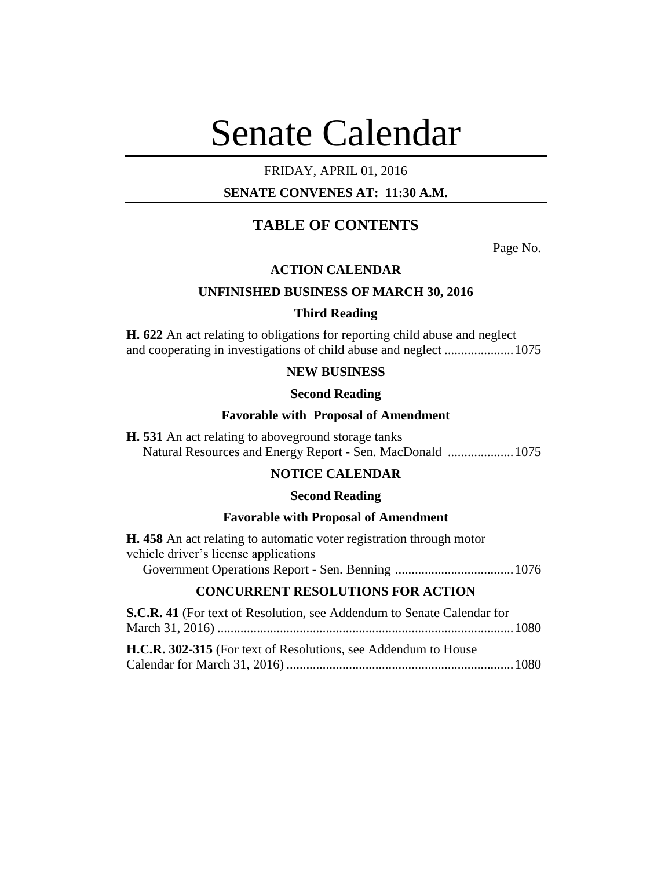# Senate Calendar

## FRIDAY, APRIL 01, 2016

## **SENATE CONVENES AT: 11:30 A.M.**

## **TABLE OF CONTENTS**

Page No.

## **ACTION CALENDAR**

## **UNFINISHED BUSINESS OF MARCH 30, 2016**

#### **Third Reading**

**H. 622** An act relating to obligations for reporting child abuse and neglect and cooperating in investigations of child abuse and neglect .....................1075

## **NEW BUSINESS**

#### **Second Reading**

#### **Favorable with Proposal of Amendment**

**H. 531** An act relating to aboveground storage tanks Natural Resources and Energy Report - Sen. MacDonald ....................1075

## **NOTICE CALENDAR**

#### **Second Reading**

#### **Favorable with Proposal of Amendment**

| <b>H.</b> 458 An act relating to automatic voter registration through motor |  |
|-----------------------------------------------------------------------------|--|
| vehicle driver's license applications                                       |  |
|                                                                             |  |

## **CONCURRENT RESOLUTIONS FOR ACTION**

| S.C.R. 41 (For text of Resolution, see Addendum to Senate Calendar for |  |
|------------------------------------------------------------------------|--|
|                                                                        |  |
|                                                                        |  |
| <b>H.C.R. 302-315</b> (For text of Resolutions, see Addendum to House  |  |
|                                                                        |  |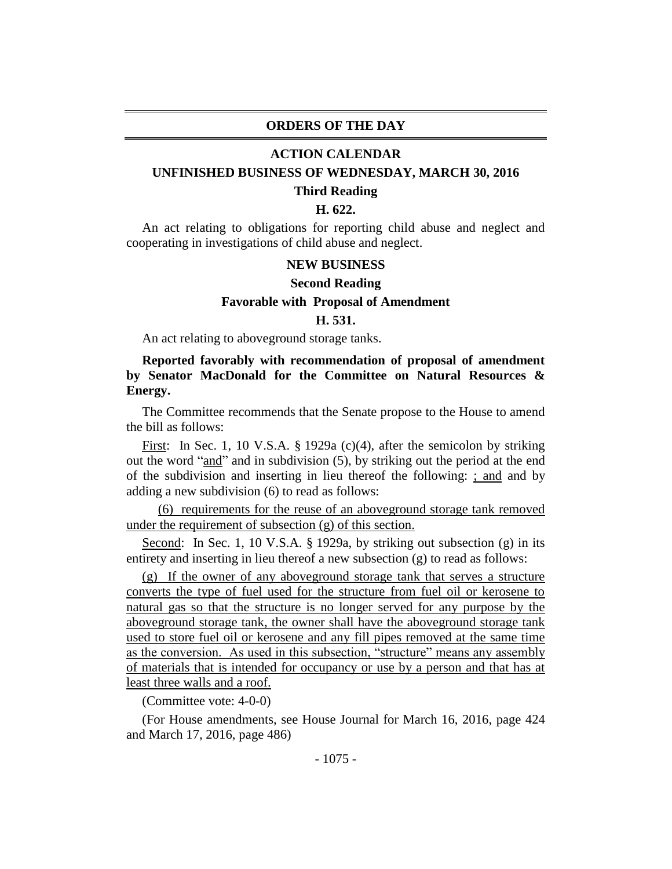#### **ORDERS OF THE DAY**

#### **ACTION CALENDAR**

## **UNFINISHED BUSINESS OF WEDNESDAY, MARCH 30, 2016**

#### **Third Reading**

#### **H. 622.**

An act relating to obligations for reporting child abuse and neglect and cooperating in investigations of child abuse and neglect.

#### **NEW BUSINESS**

#### **Second Reading**

## **Favorable with Proposal of Amendment**

## **H. 531.**

An act relating to aboveground storage tanks.

## **Reported favorably with recommendation of proposal of amendment by Senator MacDonald for the Committee on Natural Resources & Energy.**

The Committee recommends that the Senate propose to the House to amend the bill as follows:

First: In Sec. 1, 10 V.S.A. § 1929a (c)(4), after the semicolon by striking out the word "and" and in subdivision (5), by striking out the period at the end of the subdivision and inserting in lieu thereof the following: ; and and by adding a new subdivision (6) to read as follows:

(6) requirements for the reuse of an aboveground storage tank removed under the requirement of subsection (g) of this section.

Second: In Sec. 1, 10 V.S.A. § 1929a, by striking out subsection (g) in its entirety and inserting in lieu thereof a new subsection (g) to read as follows:

(g) If the owner of any aboveground storage tank that serves a structure converts the type of fuel used for the structure from fuel oil or kerosene to natural gas so that the structure is no longer served for any purpose by the aboveground storage tank, the owner shall have the aboveground storage tank used to store fuel oil or kerosene and any fill pipes removed at the same time as the conversion. As used in this subsection, "structure" means any assembly of materials that is intended for occupancy or use by a person and that has at least three walls and a roof.

(Committee vote: 4-0-0)

(For House amendments, see House Journal for March 16, 2016, page 424 and March 17, 2016, page 486)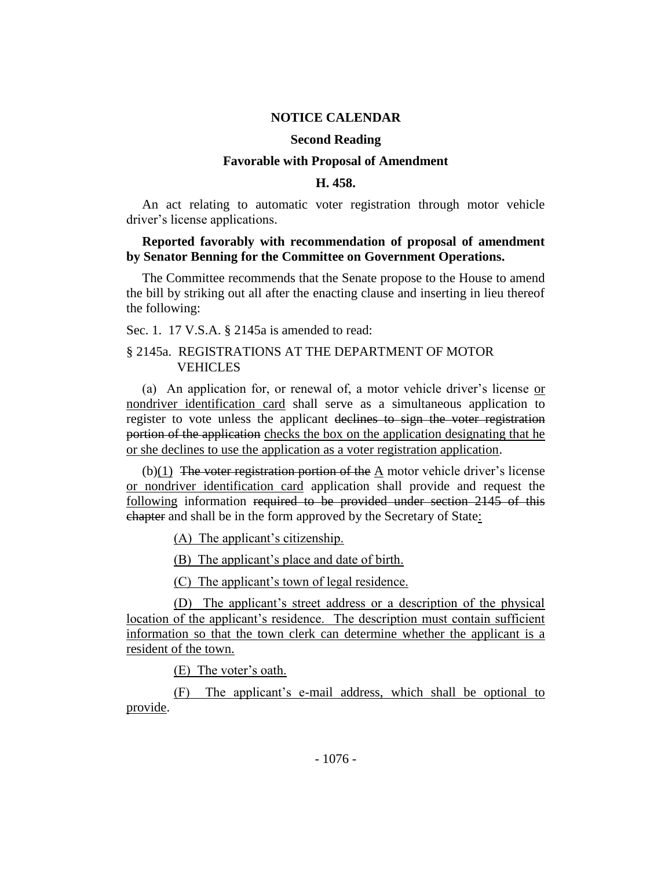#### **NOTICE CALENDAR**

#### **Second Reading**

#### **Favorable with Proposal of Amendment**

#### **H. 458.**

An act relating to automatic voter registration through motor vehicle driver's license applications.

## **Reported favorably with recommendation of proposal of amendment by Senator Benning for the Committee on Government Operations.**

The Committee recommends that the Senate propose to the House to amend the bill by striking out all after the enacting clause and inserting in lieu thereof the following:

Sec. 1. 17 V.S.A. § 2145a is amended to read:

## § 2145a. REGISTRATIONS AT THE DEPARTMENT OF MOTOR **VEHICLES**

(a) An application for, or renewal of, a motor vehicle driver's license or nondriver identification card shall serve as a simultaneous application to register to vote unless the applicant declines to sign the voter registration portion of the application checks the box on the application designating that he or she declines to use the application as a voter registration application.

 $(b)(1)$  The voter registration portion of the A motor vehicle driver's license or nondriver identification card application shall provide and request the following information required to be provided under section 2145 of this chapter and shall be in the form approved by the Secretary of State:

(A) The applicant's citizenship.

(B) The applicant's place and date of birth.

(C) The applicant's town of legal residence.

(D) The applicant's street address or a description of the physical location of the applicant's residence. The description must contain sufficient information so that the town clerk can determine whether the applicant is a resident of the town.

(E) The voter's oath.

(F) The applicant's e-mail address, which shall be optional to provide.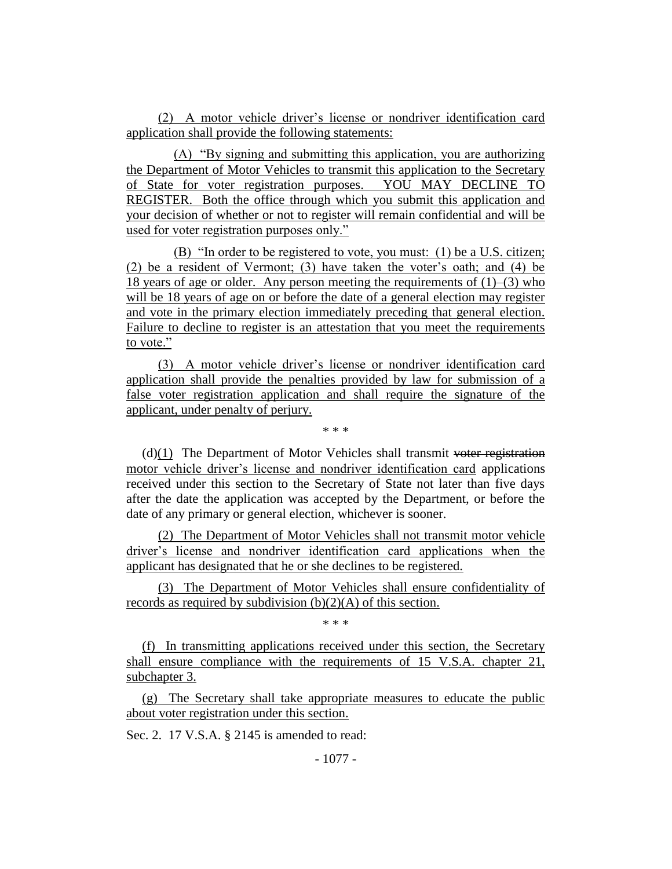(2) A motor vehicle driver's license or nondriver identification card application shall provide the following statements:

(A) "By signing and submitting this application, you are authorizing the Department of Motor Vehicles to transmit this application to the Secretary of State for voter registration purposes. YOU MAY DECLINE TO REGISTER. Both the office through which you submit this application and your decision of whether or not to register will remain confidential and will be used for voter registration purposes only."

(B) "In order to be registered to vote, you must: (1) be a U.S. citizen; (2) be a resident of Vermont; (3) have taken the voter's oath; and (4) be 18 years of age or older. Any person meeting the requirements of  $(1)$ – $(3)$  who will be 18 years of age on or before the date of a general election may register and vote in the primary election immediately preceding that general election. Failure to decline to register is an attestation that you meet the requirements to vote."

(3) A motor vehicle driver's license or nondriver identification card application shall provide the penalties provided by law for submission of a false voter registration application and shall require the signature of the applicant, under penalty of perjury.

\* \* \*

 $(d)(1)$  The Department of Motor Vehicles shall transmit voter registration motor vehicle driver's license and nondriver identification card applications received under this section to the Secretary of State not later than five days after the date the application was accepted by the Department, or before the date of any primary or general election, whichever is sooner.

(2) The Department of Motor Vehicles shall not transmit motor vehicle driver's license and nondriver identification card applications when the applicant has designated that he or she declines to be registered.

(3) The Department of Motor Vehicles shall ensure confidentiality of records as required by subdivision  $(b)(2)(A)$  of this section.

\* \* \*

(f) In transmitting applications received under this section, the Secretary shall ensure compliance with the requirements of 15 V.S.A. chapter 21, subchapter 3.

(g) The Secretary shall take appropriate measures to educate the public about voter registration under this section.

Sec. 2. 17 V.S.A. § 2145 is amended to read: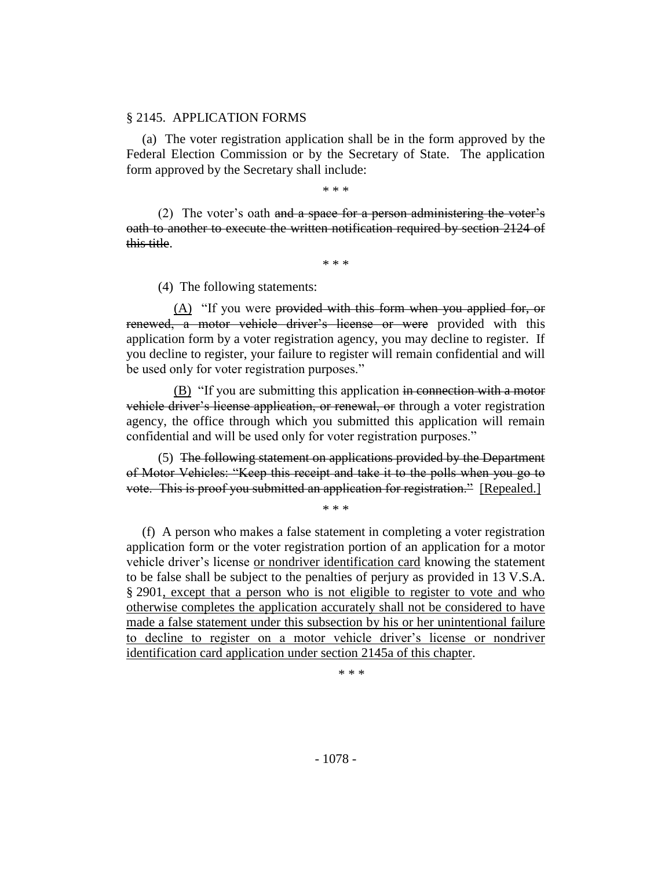#### § 2145. APPLICATION FORMS

(a) The voter registration application shall be in the form approved by the Federal Election Commission or by the Secretary of State. The application form approved by the Secretary shall include:

\* \* \*

(2) The voter's oath and a space for a person administering the voter's oath to another to execute the written notification required by section 2124 of this title.

\* \* \*

(4) The following statements:

(A) "If you were provided with this form when you applied for, or renewed, a motor vehicle driver's license or were provided with this application form by a voter registration agency, you may decline to register. If you decline to register, your failure to register will remain confidential and will be used only for voter registration purposes."

(B) "If you are submitting this application in connection with a motor vehicle driver's license application, or renewal, or through a voter registration agency, the office through which you submitted this application will remain confidential and will be used only for voter registration purposes."

(5) The following statement on applications provided by the Department of Motor Vehicles: "Keep this receipt and take it to the polls when you go to vote. This is proof you submitted an application for registration." [Repealed.]

\* \* \*

(f) A person who makes a false statement in completing a voter registration application form or the voter registration portion of an application for a motor vehicle driver's license or nondriver identification card knowing the statement to be false shall be subject to the penalties of perjury as provided in 13 V.S.A. § 2901, except that a person who is not eligible to register to vote and who otherwise completes the application accurately shall not be considered to have made a false statement under this subsection by his or her unintentional failure to decline to register on a motor vehicle driver's license or nondriver identification card application under section 2145a of this chapter.

\* \* \*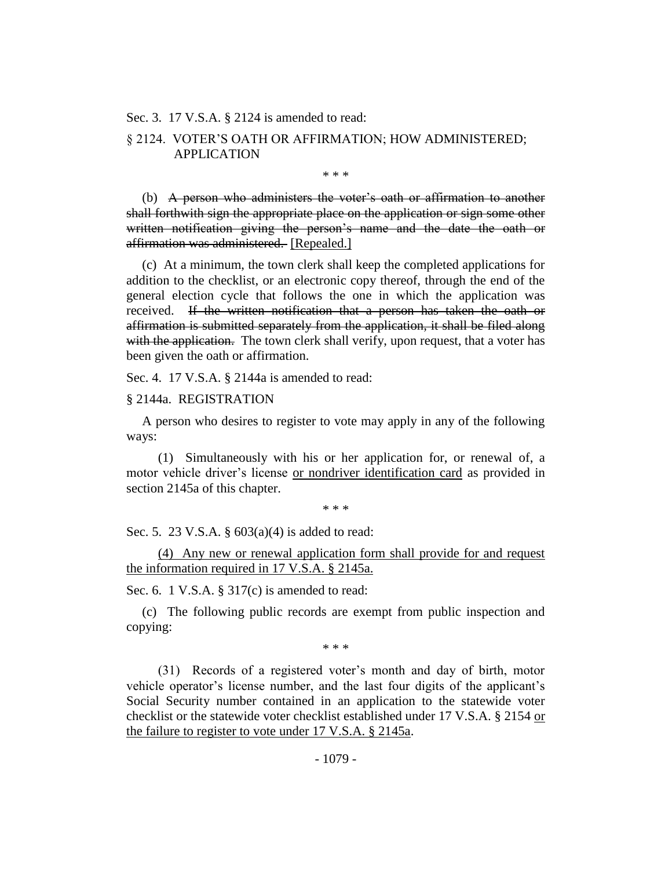Sec. 3. 17 V.S.A. § 2124 is amended to read:

## § 2124. VOTER'S OATH OR AFFIRMATION; HOW ADMINISTERED; APPLICATION

\* \* \*

(b) A person who administers the voter's oath or affirmation to another shall forthwith sign the appropriate place on the application or sign some other written notification giving the person's name and the date the oath or affirmation was administered. [Repealed.]

(c) At a minimum, the town clerk shall keep the completed applications for addition to the checklist, or an electronic copy thereof, through the end of the general election cycle that follows the one in which the application was received. If the written notification that a person has taken the oath or affirmation is submitted separately from the application, it shall be filed along with the application. The town clerk shall verify, upon request, that a voter has been given the oath or affirmation.

Sec. 4. 17 V.S.A. § 2144a is amended to read:

#### § 2144a. REGISTRATION

A person who desires to register to vote may apply in any of the following ways:

(1) Simultaneously with his or her application for, or renewal of, a motor vehicle driver's license or nondriver identification card as provided in section 2145a of this chapter.

\* \* \*

Sec. 5. 23 V.S.A. § 603(a)(4) is added to read:

(4) Any new or renewal application form shall provide for and request the information required in 17 V.S.A. § 2145a.

Sec. 6. 1 V.S.A. § 317(c) is amended to read:

(c) The following public records are exempt from public inspection and copying:

\* \* \*

(31) Records of a registered voter's month and day of birth, motor vehicle operator's license number, and the last four digits of the applicant's Social Security number contained in an application to the statewide voter checklist or the statewide voter checklist established under 17 V.S.A. § 2154 or the failure to register to vote under 17 V.S.A. § 2145a.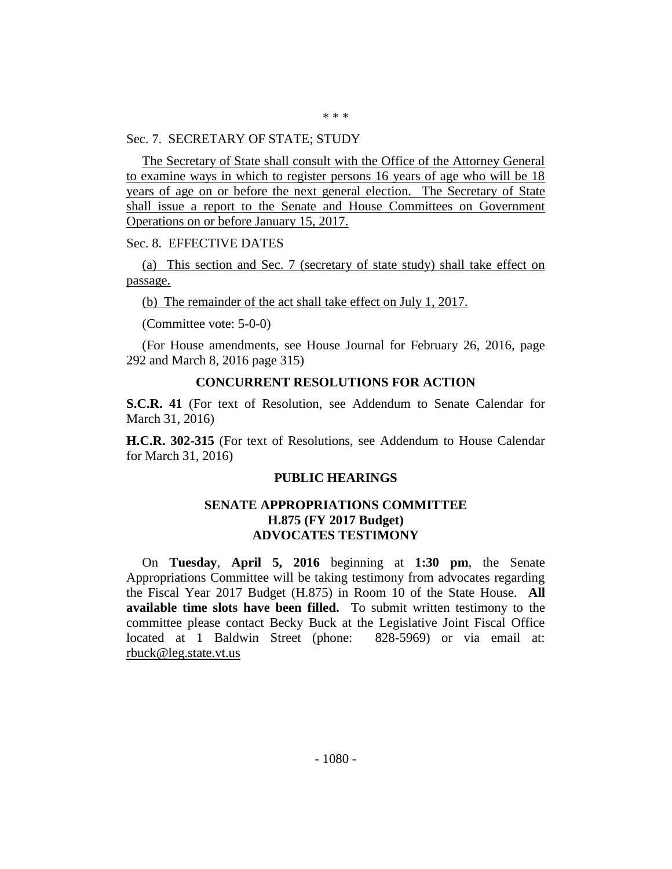#### Sec. 7. SECRETARY OF STATE; STUDY

The Secretary of State shall consult with the Office of the Attorney General to examine ways in which to register persons 16 years of age who will be 18 years of age on or before the next general election. The Secretary of State shall issue a report to the Senate and House Committees on Government Operations on or before January 15, 2017.

Sec. 8. EFFECTIVE DATES

(a) This section and Sec. 7 (secretary of state study) shall take effect on passage.

(b) The remainder of the act shall take effect on July 1, 2017.

(Committee vote: 5-0-0)

(For House amendments, see House Journal for February 26, 2016, page 292 and March 8, 2016 page 315)

## **CONCURRENT RESOLUTIONS FOR ACTION**

**S.C.R. 41** (For text of Resolution, see Addendum to Senate Calendar for March 31, 2016)

**H.C.R. 302-315** (For text of Resolutions, see Addendum to House Calendar for March 31, 2016)

#### **PUBLIC HEARINGS**

## **SENATE APPROPRIATIONS COMMITTEE H.875 (FY 2017 Budget) ADVOCATES TESTIMONY**

On **Tuesday**, **April 5, 2016** beginning at **1:30 pm**, the Senate Appropriations Committee will be taking testimony from advocates regarding the Fiscal Year 2017 Budget (H.875) in Room 10 of the State House. **All available time slots have been filled.** To submit written testimony to the committee please contact Becky Buck at the Legislative Joint Fiscal Office located at 1 Baldwin Street (phone: 828-5969) or via email at: rbuck@leg.state.vt.us